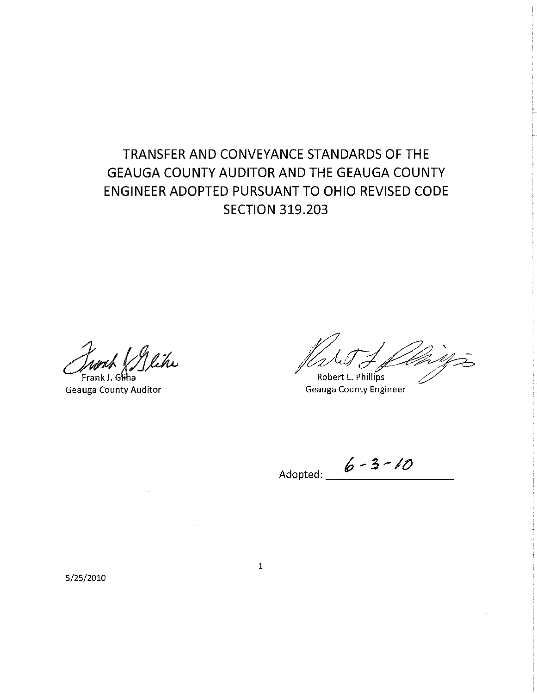# TRANSFER AND CONVEYANCE STANDARDS OF THE **GEAUGA COUNTY AUDITOR AND THE GEAUGA COUNTY** ENGINEER ADOPTED PURSUANT TO OHIO REVISED CODE **SECTION 319.203**

lihi Frank.

**Geauga County Auditor** 

Robert L. Phillips

**Geauga County Engineer** 

Adopted:  $6 - 3 - 10$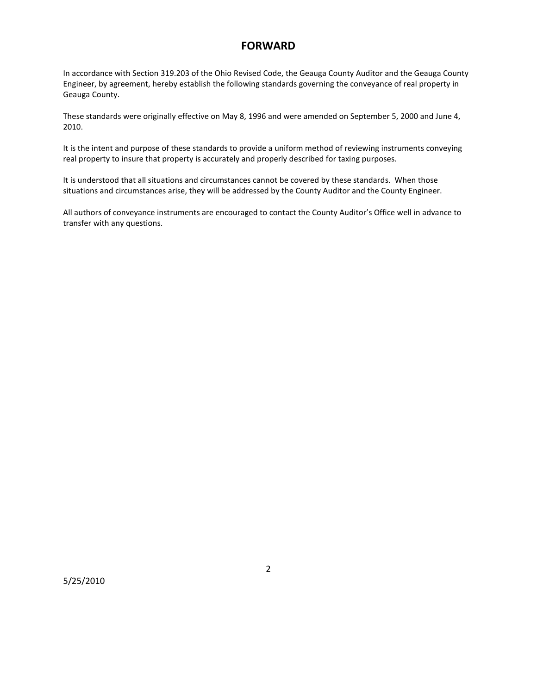#### **FORWARD**

In accordance with Section 319.203 of the Ohio Revised Code, the Geauga County Auditor and the Geauga County Engineer, by agreement, hereby establish the following standards governing the conveyance of real property in Geauga County.

These standards were originally effective on May 8, 1996 and were amended on September 5, 2000 and June 4, 2010.

It is the intent and purpose of these standards to provide a uniform method of reviewing instruments conveying real property to insure that property is accurately and properly described for taxing purposes.

It is understood that all situations and circumstances cannot be covered by these standards. When those situations and circumstances arise, they will be addressed by the County Auditor and the County Engineer.

All authors of conveyance instruments are encouraged to contact the County Auditor's Office well in advance to transfer with any questions.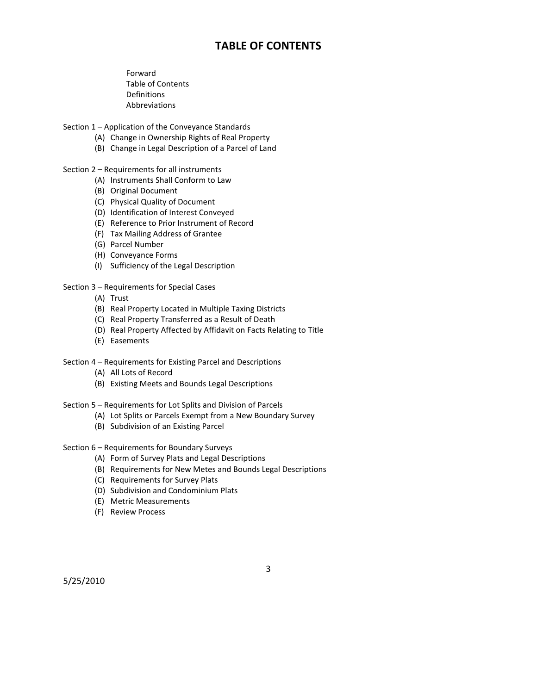#### **TABLE OF CONTENTS**

 Forward Table of Contents Definitions Abbreviations

Section 1 – Application of the Conveyance Standards

- (A) Change in Ownership Rights of Real Property
- (B) Change in Legal Description of a Parcel of Land
- Section 2 Requirements for all instruments
	- (A) Instruments Shall Conform to Law
	- (B) Original Document
	- (C) Physical Quality of Document
	- (D) Identification of Interest Conveyed
	- (E) Reference to Prior Instrument of Record
	- (F) Tax Mailing Address of Grantee
	- (G) Parcel Number
	- (H) Conveyance Forms
	- (I) Sufficiency of the Legal Description

#### Section 3 – Requirements for Special Cases

- (A) Trust
- (B) Real Property Located in Multiple Taxing Districts
- (C) Real Property Transferred as a Result of Death
- (D) Real Property Affected by Affidavit on Facts Relating to Title
- (E) Easements
- Section 4 Requirements for Existing Parcel and Descriptions
	- (A) All Lots of Record
	- (B) Existing Meets and Bounds Legal Descriptions
- Section 5 Requirements for Lot Splits and Division of Parcels
	- (A) Lot Splits or Parcels Exempt from a New Boundary Survey
	- (B) Subdivision of an Existing Parcel
- Section 6 Requirements for Boundary Surveys
	- (A) Form of Survey Plats and Legal Descriptions
	- (B) Requirements for New Metes and Bounds Legal Descriptions
	- (C) Requirements for Survey Plats
	- (D) Subdivision and Condominium Plats
	- (E) Metric Measurements
	- (F) Review Process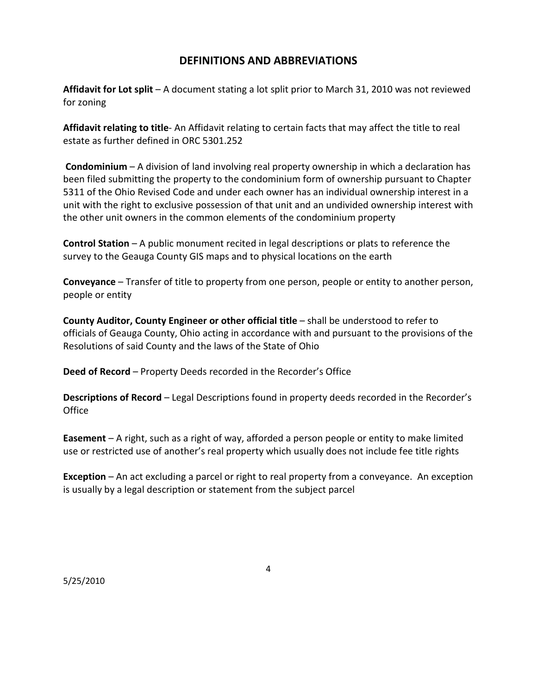#### **DEFINITIONS AND ABBREVIATIONS**

**Affidavit for Lot split** – A document stating a lot split prior to March 31, 2010 was not reviewed for zoning

**Affidavit relating to title**- An Affidavit relating to certain facts that may affect the title to real estate as further defined in ORC 5301.252

**Condominium** – A division of land involving real property ownership in which a declaration has been filed submitting the property to the condominium form of ownership pursuant to Chapter 5311 of the Ohio Revised Code and under each owner has an individual ownership interest in a unit with the right to exclusive possession of that unit and an undivided ownership interest with the other unit owners in the common elements of the condominium property

**Control Station** – A public monument recited in legal descriptions or plats to reference the survey to the Geauga County GIS maps and to physical locations on the earth

**Conveyance** – Transfer of title to property from one person, people or entity to another person, people or entity

**County Auditor, County Engineer or other official title** – shall be understood to refer to officials of Geauga County, Ohio acting in accordance with and pursuant to the provisions of the Resolutions of said County and the laws of the State of Ohio

**Deed of Record** – Property Deeds recorded in the Recorder's Office

**Descriptions of Record** – Legal Descriptions found in property deeds recorded in the Recorder's **Office** 

**Easement** – A right, such as a right of way, afforded a person people or entity to make limited use or restricted use of another's real property which usually does not include fee title rights

**Exception** – An act excluding a parcel or right to real property from a conveyance. An exception is usually by a legal description or statement from the subject parcel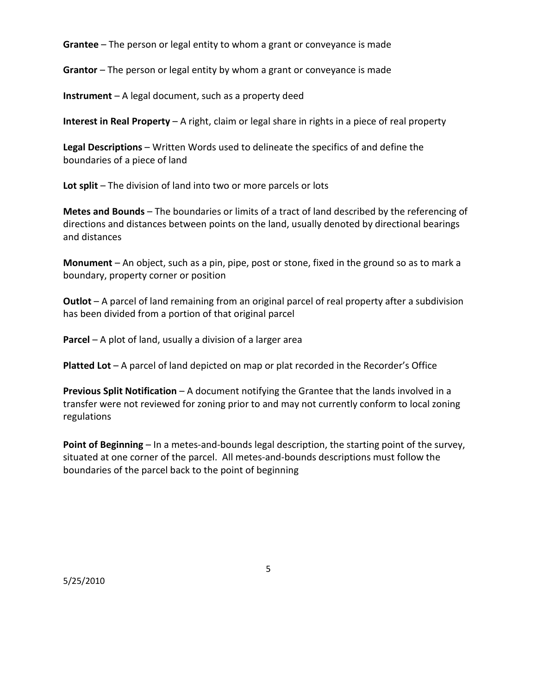**Grantee** – The person or legal entity to whom a grant or conveyance is made

**Grantor** – The person or legal entity by whom a grant or conveyance is made

**Instrument** – A legal document, such as a property deed

**Interest in Real Property** – A right, claim or legal share in rights in a piece of real property

**Legal Descriptions** – Written Words used to delineate the specifics of and define the boundaries of a piece of land

**Lot split** – The division of land into two or more parcels or lots

**Metes and Bounds** – The boundaries or limits of a tract of land described by the referencing of directions and distances between points on the land, usually denoted by directional bearings and distances

**Monument** – An object, such as a pin, pipe, post or stone, fixed in the ground so as to mark a boundary, property corner or position

**Outlot** – A parcel of land remaining from an original parcel of real property after a subdivision has been divided from a portion of that original parcel

**Parcel** – A plot of land, usually a division of a larger area

**Platted Lot** – A parcel of land depicted on map or plat recorded in the Recorder's Office

**Previous Split Notification** – A document notifying the Grantee that the lands involved in a transfer were not reviewed for zoning prior to and may not currently conform to local zoning regulations

**Point of Beginning** – In a metes-and-bounds legal description, the starting point of the survey, situated at one corner of the parcel. All metes-and-bounds descriptions must follow the boundaries of the parcel back to the point of beginning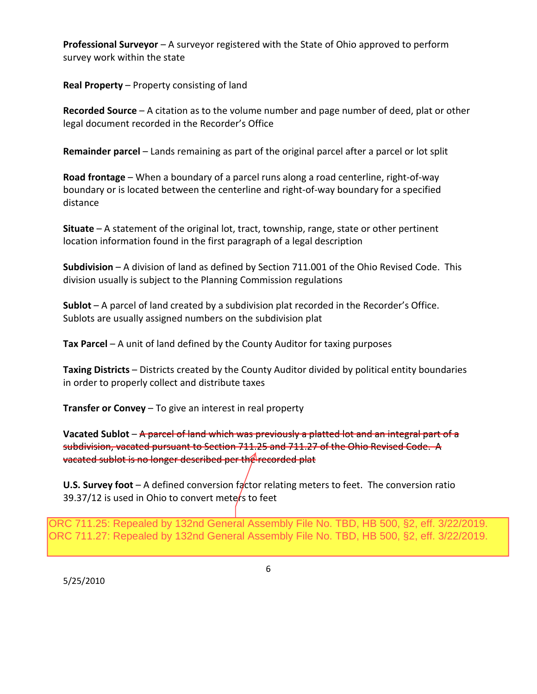**Professional Surveyor** – A surveyor registered with the State of Ohio approved to perform survey work within the state

**Real Property** – Property consisting of land

**Recorded Source** – A citation as to the volume number and page number of deed, plat or other legal document recorded in the Recorder's Office

**Remainder parcel** – Lands remaining as part of the original parcel after a parcel or lot split

**Road frontage** – When a boundary of a parcel runs along a road centerline, right-of-way boundary or is located between the centerline and right-of-way boundary for a specified distance

**Situate** – A statement of the original lot, tract, township, range, state or other pertinent location information found in the first paragraph of a legal description

**Subdivision** – A division of land as defined by Section 711.001 of the Ohio Revised Code. This division usually is subject to the Planning Commission regulations

**Sublot** – A parcel of land created by a subdivision plat recorded in the Recorder's Office. Sublots are usually assigned numbers on the subdivision plat

**Tax Parcel** – A unit of land defined by the County Auditor for taxing purposes

**Taxing Districts** – Districts created by the County Auditor divided by political entity boundaries in order to properly collect and distribute taxes

**Transfer or Convey** – To give an interest in real property

**Vacated Sublot** – A parcel of land which was previously a platted lot and an integral part of a subdivision, vacated pursuant to Section 711.25 and 711.27 of the Ohio Revised Code. A vacated sublot is no longer described per the recorded plat

**U.S. Survey foot** – A defined conversion factor relating meters to feet. The conversion ratio 39.37/12 is used in Ohio to convert meters to feet

ORC 711.25: Repealed by 132nd General Assembly File No. TBD, HB 500, §2, eff. 3/22/2019. ORC 711.27: Repealed by 132nd General Assembly File No. TBD, HB 500, §2, eff. 3/22/2019.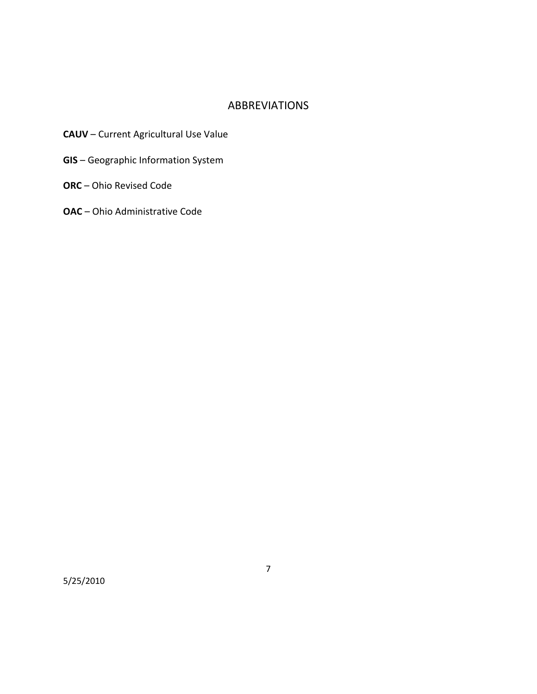#### ABBREVIATIONS

- **CAUV** Current Agricultural Use Value
- **GIS**  Geographic Information System
- **ORC** Ohio Revised Code
- **OAC**  Ohio Administrative Code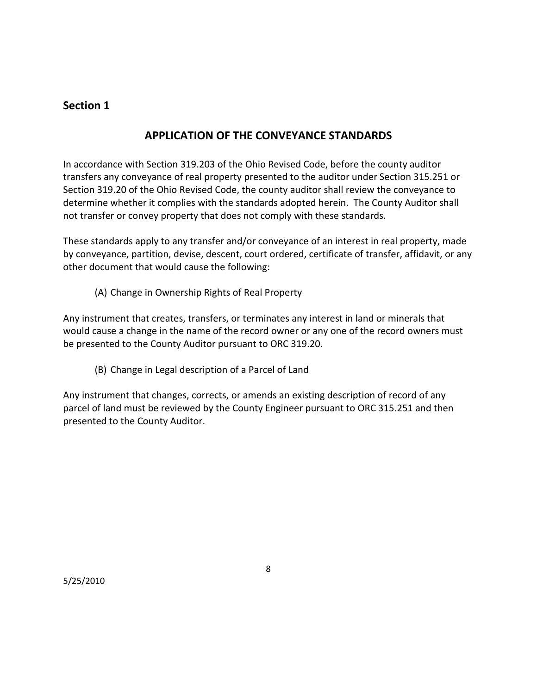# **APPLICATION OF THE CONVEYANCE STANDARDS**

In accordance with Section 319.203 of the Ohio Revised Code, before the county auditor transfers any conveyance of real property presented to the auditor under Section 315.251 or Section 319.20 of the Ohio Revised Code, the county auditor shall review the conveyance to determine whether it complies with the standards adopted herein. The County Auditor shall not transfer or convey property that does not comply with these standards.

These standards apply to any transfer and/or conveyance of an interest in real property, made by conveyance, partition, devise, descent, court ordered, certificate of transfer, affidavit, or any other document that would cause the following:

(A) Change in Ownership Rights of Real Property

Any instrument that creates, transfers, or terminates any interest in land or minerals that would cause a change in the name of the record owner or any one of the record owners must be presented to the County Auditor pursuant to ORC 319.20.

(B) Change in Legal description of a Parcel of Land

Any instrument that changes, corrects, or amends an existing description of record of any parcel of land must be reviewed by the County Engineer pursuant to ORC 315.251 and then presented to the County Auditor.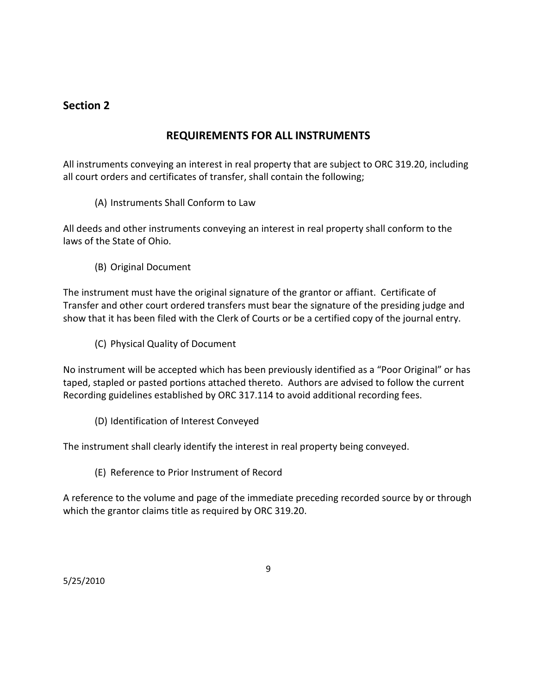# **REQUIREMENTS FOR ALL INSTRUMENTS**

All instruments conveying an interest in real property that are subject to ORC 319.20, including all court orders and certificates of transfer, shall contain the following;

(A) Instruments Shall Conform to Law

All deeds and other instruments conveying an interest in real property shall conform to the laws of the State of Ohio.

(B) Original Document

The instrument must have the original signature of the grantor or affiant. Certificate of Transfer and other court ordered transfers must bear the signature of the presiding judge and show that it has been filed with the Clerk of Courts or be a certified copy of the journal entry.

(C) Physical Quality of Document

No instrument will be accepted which has been previously identified as a "Poor Original" or has taped, stapled or pasted portions attached thereto. Authors are advised to follow the current Recording guidelines established by ORC 317.114 to avoid additional recording fees.

(D) Identification of Interest Conveyed

The instrument shall clearly identify the interest in real property being conveyed.

(E) Reference to Prior Instrument of Record

A reference to the volume and page of the immediate preceding recorded source by or through which the grantor claims title as required by ORC 319.20.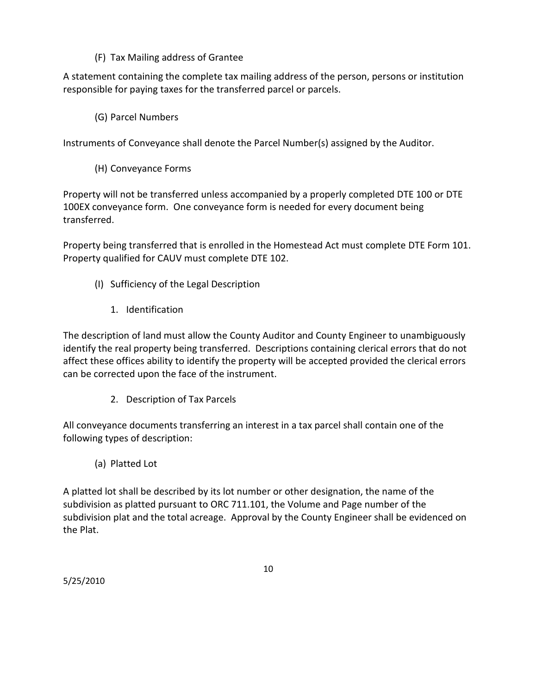(F) Tax Mailing address of Grantee

A statement containing the complete tax mailing address of the person, persons or institution responsible for paying taxes for the transferred parcel or parcels.

(G) Parcel Numbers

Instruments of Conveyance shall denote the Parcel Number(s) assigned by the Auditor.

(H) Conveyance Forms

Property will not be transferred unless accompanied by a properly completed DTE 100 or DTE 100EX conveyance form. One conveyance form is needed for every document being transferred.

Property being transferred that is enrolled in the Homestead Act must complete DTE Form 101. Property qualified for CAUV must complete DTE 102.

- (I) Sufficiency of the Legal Description
	- 1. Identification

The description of land must allow the County Auditor and County Engineer to unambiguously identify the real property being transferred. Descriptions containing clerical errors that do not affect these offices ability to identify the property will be accepted provided the clerical errors can be corrected upon the face of the instrument.

2. Description of Tax Parcels

All conveyance documents transferring an interest in a tax parcel shall contain one of the following types of description:

(a) Platted Lot

A platted lot shall be described by its lot number or other designation, the name of the subdivision as platted pursuant to ORC 711.101, the Volume and Page number of the subdivision plat and the total acreage. Approval by the County Engineer shall be evidenced on the Plat.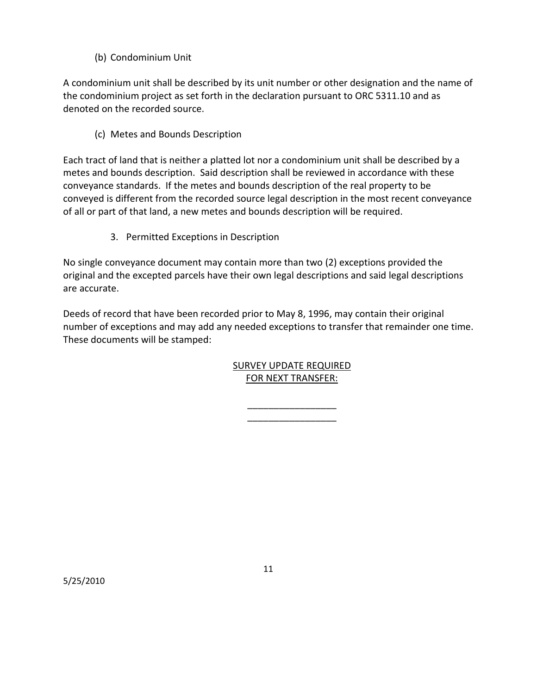(b) Condominium Unit

A condominium unit shall be described by its unit number or other designation and the name of the condominium project as set forth in the declaration pursuant to ORC 5311.10 and as denoted on the recorded source.

(c) Metes and Bounds Description

Each tract of land that is neither a platted lot nor a condominium unit shall be described by a metes and bounds description. Said description shall be reviewed in accordance with these conveyance standards. If the metes and bounds description of the real property to be conveyed is different from the recorded source legal description in the most recent conveyance of all or part of that land, a new metes and bounds description will be required.

3. Permitted Exceptions in Description

No single conveyance document may contain more than two (2) exceptions provided the original and the excepted parcels have their own legal descriptions and said legal descriptions are accurate.

Deeds of record that have been recorded prior to May 8, 1996, may contain their original number of exceptions and may add any needed exceptions to transfer that remainder one time. These documents will be stamped:

### SURVEY UPDATE REQUIRED FOR NEXT TRANSFER:

 $\overline{\phantom{a}}$  , where  $\overline{\phantom{a}}$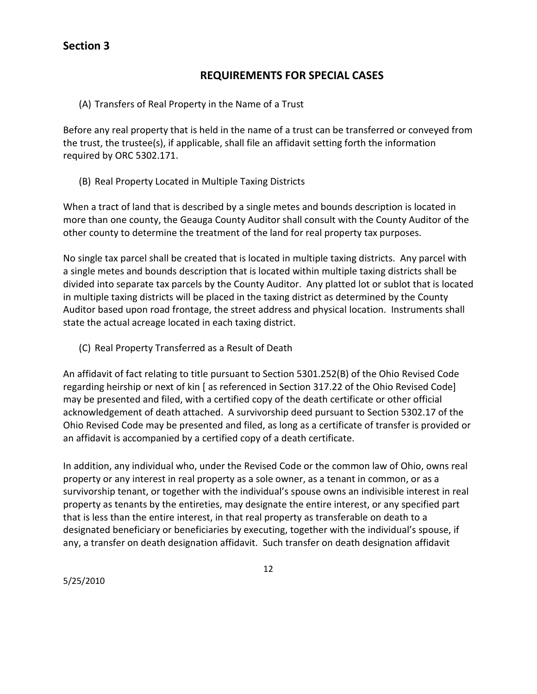# **REQUIREMENTS FOR SPECIAL CASES**

(A) Transfers of Real Property in the Name of a Trust

Before any real property that is held in the name of a trust can be transferred or conveyed from the trust, the trustee(s), if applicable, shall file an affidavit setting forth the information required by ORC 5302.171.

(B) Real Property Located in Multiple Taxing Districts

When a tract of land that is described by a single metes and bounds description is located in more than one county, the Geauga County Auditor shall consult with the County Auditor of the other county to determine the treatment of the land for real property tax purposes.

No single tax parcel shall be created that is located in multiple taxing districts. Any parcel with a single metes and bounds description that is located within multiple taxing districts shall be divided into separate tax parcels by the County Auditor. Any platted lot or sublot that is located in multiple taxing districts will be placed in the taxing district as determined by the County Auditor based upon road frontage, the street address and physical location. Instruments shall state the actual acreage located in each taxing district.

(C) Real Property Transferred as a Result of Death

An affidavit of fact relating to title pursuant to Section 5301.252(B) of the Ohio Revised Code regarding heirship or next of kin [ as referenced in Section 317.22 of the Ohio Revised Code] may be presented and filed, with a certified copy of the death certificate or other official acknowledgement of death attached. A survivorship deed pursuant to Section 5302.17 of the Ohio Revised Code may be presented and filed, as long as a certificate of transfer is provided or an affidavit is accompanied by a certified copy of a death certificate.

In addition, any individual who, under the Revised Code or the common law of Ohio, owns real property or any interest in real property as a sole owner, as a tenant in common, or as a survivorship tenant, or together with the individual's spouse owns an indivisible interest in real property as tenants by the entireties, may designate the entire interest, or any specified part that is less than the entire interest, in that real property as transferable on death to a designated beneficiary or beneficiaries by executing, together with the individual's spouse, if any, a transfer on death designation affidavit. Such transfer on death designation affidavit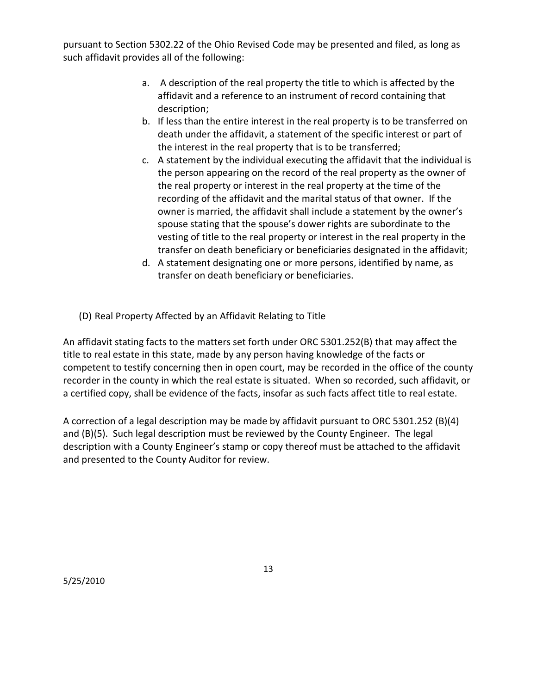pursuant to Section 5302.22 of the Ohio Revised Code may be presented and filed, as long as such affidavit provides all of the following:

- a. A description of the real property the title to which is affected by the affidavit and a reference to an instrument of record containing that description;
- b. If less than the entire interest in the real property is to be transferred on death under the affidavit, a statement of the specific interest or part of the interest in the real property that is to be transferred;
- c. A statement by the individual executing the affidavit that the individual is the person appearing on the record of the real property as the owner of the real property or interest in the real property at the time of the recording of the affidavit and the marital status of that owner. If the owner is married, the affidavit shall include a statement by the owner's spouse stating that the spouse's dower rights are subordinate to the vesting of title to the real property or interest in the real property in the transfer on death beneficiary or beneficiaries designated in the affidavit;
- d. A statement designating one or more persons, identified by name, as transfer on death beneficiary or beneficiaries.
- (D) Real Property Affected by an Affidavit Relating to Title

An affidavit stating facts to the matters set forth under ORC 5301.252(B) that may affect the title to real estate in this state, made by any person having knowledge of the facts or competent to testify concerning then in open court, may be recorded in the office of the county recorder in the county in which the real estate is situated. When so recorded, such affidavit, or a certified copy, shall be evidence of the facts, insofar as such facts affect title to real estate.

A correction of a legal description may be made by affidavit pursuant to ORC 5301.252 (B)(4) and (B)(5). Such legal description must be reviewed by the County Engineer. The legal description with a County Engineer's stamp or copy thereof must be attached to the affidavit and presented to the County Auditor for review.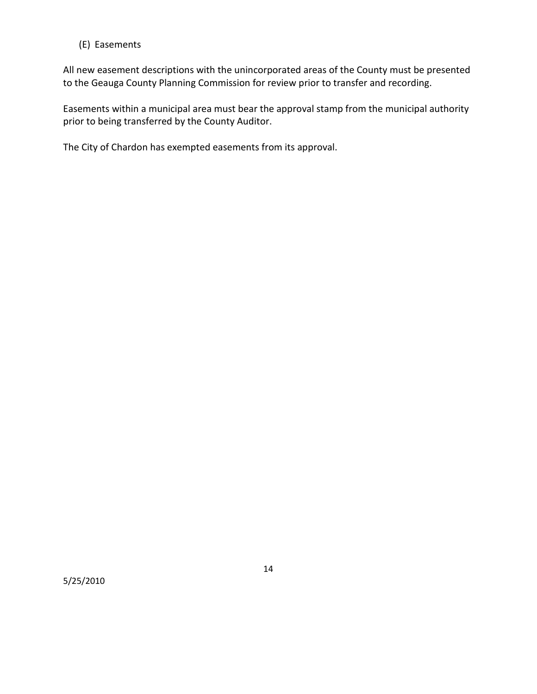#### (E) Easements

All new easement descriptions with the unincorporated areas of the County must be presented to the Geauga County Planning Commission for review prior to transfer and recording.

Easements within a municipal area must bear the approval stamp from the municipal authority prior to being transferred by the County Auditor.

The City of Chardon has exempted easements from its approval.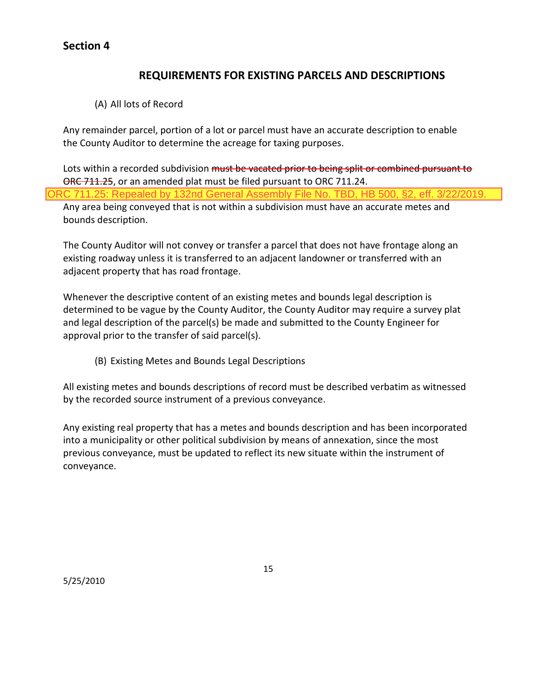# **REQUIREMENTS FOR EXISTING PARCELS AND DESCRIPTIONS**

(A) All lots of Record

Any remainder parcel, portion of a lot or parcel must have an accurate description to enable the County Auditor to determine the acreage for taxing purposes.

Lots within a recorded subdivision must be vacated prior to being split or combined pursuant to ORC 711.25, or an amended plat must be filed pursuant to ORC 711.24. Any area being conveyed that is not within a subdivision must have an accurate metes and bounds description. ORC 711.25: Repealed by 132nd General Assembly File No. TBD, HB 500, §2, eff. 3/22/2019.

The County Auditor will not convey or transfer a parcel that does not have frontage along an existing roadway unless it is transferred to an adjacent landowner or transferred with an adjacent property that has road frontage.

Whenever the descriptive content of an existing metes and bounds legal description is determined to be vague by the County Auditor, the County Auditor may require a survey plat and legal description of the parcel(s) be made and submitted to the County Engineer for approval prior to the transfer of said parcel(s).

(B) Existing Metes and Bounds Legal Descriptions

All existing metes and bounds descriptions of record must be described verbatim as witnessed by the recorded source instrument of a previous conveyance.

Any existing real property that has a metes and bounds description and has been incorporated into a municipality or other political subdivision by means of annexation, since the most previous conveyance, must be updated to reflect its new situate within the instrument of conveyance.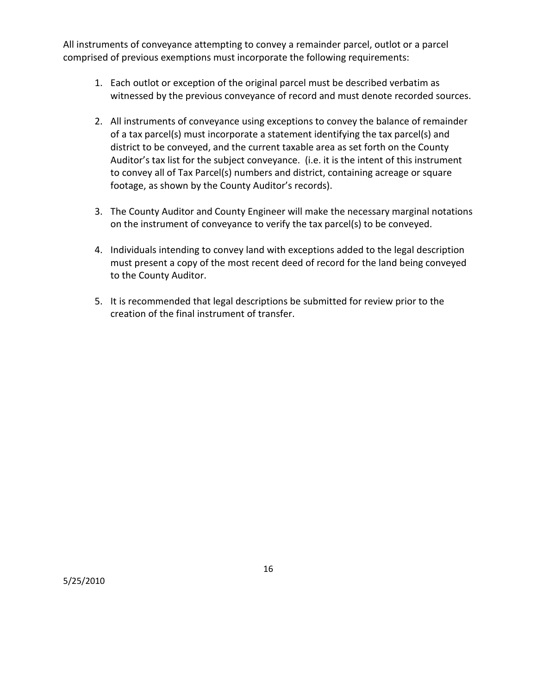All instruments of conveyance attempting to convey a remainder parcel, outlot or a parcel comprised of previous exemptions must incorporate the following requirements:

- 1. Each outlot or exception of the original parcel must be described verbatim as witnessed by the previous conveyance of record and must denote recorded sources.
- 2. All instruments of conveyance using exceptions to convey the balance of remainder of a tax parcel(s) must incorporate a statement identifying the tax parcel(s) and district to be conveyed, and the current taxable area as set forth on the County Auditor's tax list for the subject conveyance. (i.e. it is the intent of this instrument to convey all of Tax Parcel(s) numbers and district, containing acreage or square footage, as shown by the County Auditor's records).
- 3. The County Auditor and County Engineer will make the necessary marginal notations on the instrument of conveyance to verify the tax parcel(s) to be conveyed.
- 4. Individuals intending to convey land with exceptions added to the legal description must present a copy of the most recent deed of record for the land being conveyed to the County Auditor.
- 5. It is recommended that legal descriptions be submitted for review prior to the creation of the final instrument of transfer.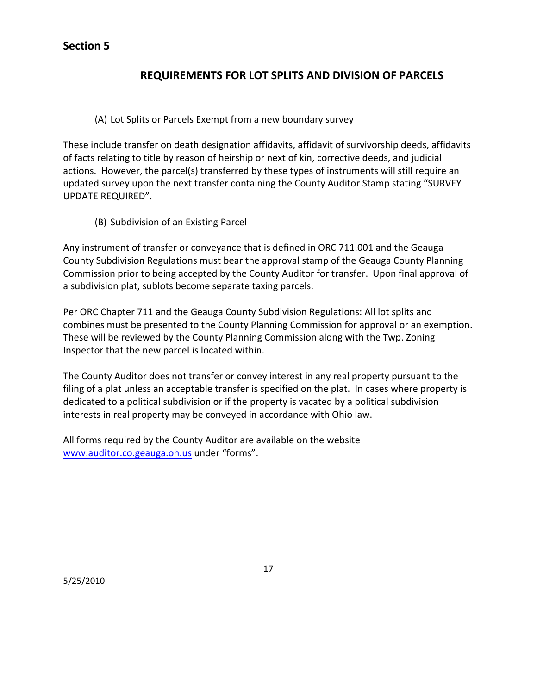# **REQUIREMENTS FOR LOT SPLITS AND DIVISION OF PARCELS**

#### (A) Lot Splits or Parcels Exempt from a new boundary survey

These include transfer on death designation affidavits, affidavit of survivorship deeds, affidavits of facts relating to title by reason of heirship or next of kin, corrective deeds, and judicial actions. However, the parcel(s) transferred by these types of instruments will still require an updated survey upon the next transfer containing the County Auditor Stamp stating "SURVEY UPDATE REQUIRED".

(B) Subdivision of an Existing Parcel

Any instrument of transfer or conveyance that is defined in ORC 711.001 and the Geauga County Subdivision Regulations must bear the approval stamp of the Geauga County Planning Commission prior to being accepted by the County Auditor for transfer. Upon final approval of a subdivision plat, sublots become separate taxing parcels.

Per ORC Chapter 711 and the Geauga County Subdivision Regulations: All lot splits and combines must be presented to the County Planning Commission for approval or an exemption. These will be reviewed by the County Planning Commission along with the Twp. Zoning Inspector that the new parcel is located within.

The County Auditor does not transfer or convey interest in any real property pursuant to the filing of a plat unless an acceptable transfer is specified on the plat. In cases where property is dedicated to a political subdivision or if the property is vacated by a political subdivision interests in real property may be conveyed in accordance with Ohio law.

All forms required by the County Auditor are available on the website [www.auditor.co.geauga.oh.us](http://www.auditor.co.geauga.oh.us/) under "forms".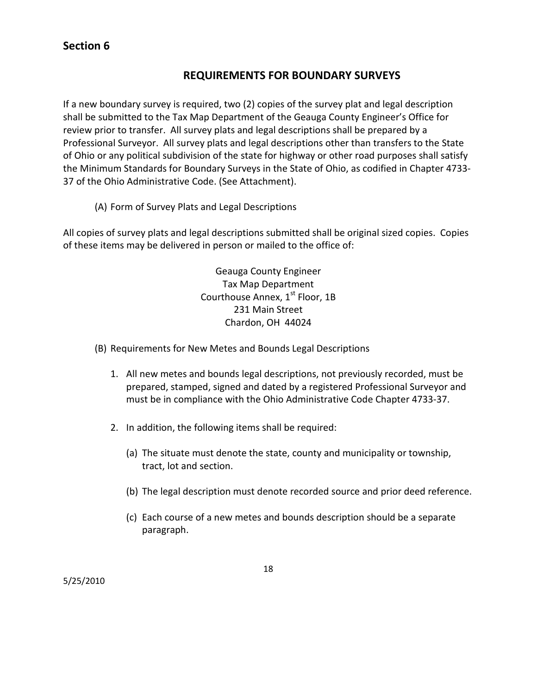# **REQUIREMENTS FOR BOUNDARY SURVEYS**

If a new boundary survey is required, two (2) copies of the survey plat and legal description shall be submitted to the Tax Map Department of the Geauga County Engineer's Office for review prior to transfer. All survey plats and legal descriptions shall be prepared by a Professional Surveyor. All survey plats and legal descriptions other than transfers to the State of Ohio or any political subdivision of the state for highway or other road purposes shall satisfy the Minimum Standards for Boundary Surveys in the State of Ohio, as codified in Chapter 4733- 37 of the Ohio Administrative Code. (See Attachment).

(A) Form of Survey Plats and Legal Descriptions

All copies of survey plats and legal descriptions submitted shall be original sized copies. Copies of these items may be delivered in person or mailed to the office of:

> Geauga County Engineer Tax Map Department Courthouse Annex, 1<sup>st</sup> Floor, 1B 231 Main Street Chardon, OH 44024

- (B) Requirements for New Metes and Bounds Legal Descriptions
	- 1. All new metes and bounds legal descriptions, not previously recorded, must be prepared, stamped, signed and dated by a registered Professional Surveyor and must be in compliance with the Ohio Administrative Code Chapter 4733-37.
	- 2. In addition, the following items shall be required:
		- (a) The situate must denote the state, county and municipality or township, tract, lot and section.
		- (b) The legal description must denote recorded source and prior deed reference.
		- (c) Each course of a new metes and bounds description should be a separate paragraph.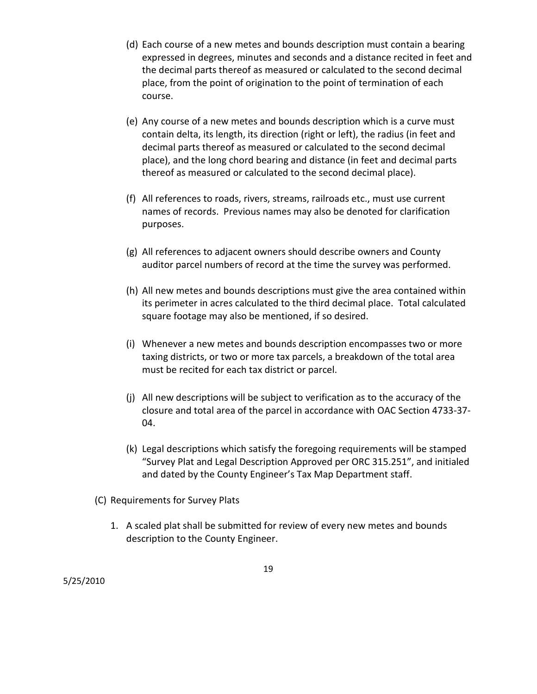- (d) Each course of a new metes and bounds description must contain a bearing expressed in degrees, minutes and seconds and a distance recited in feet and the decimal parts thereof as measured or calculated to the second decimal place, from the point of origination to the point of termination of each course.
- (e) Any course of a new metes and bounds description which is a curve must contain delta, its length, its direction (right or left), the radius (in feet and decimal parts thereof as measured or calculated to the second decimal place), and the long chord bearing and distance (in feet and decimal parts thereof as measured or calculated to the second decimal place).
- (f) All references to roads, rivers, streams, railroads etc., must use current names of records. Previous names may also be denoted for clarification purposes.
- (g) All references to adjacent owners should describe owners and County auditor parcel numbers of record at the time the survey was performed.
- (h) All new metes and bounds descriptions must give the area contained within its perimeter in acres calculated to the third decimal place. Total calculated square footage may also be mentioned, if so desired.
- (i) Whenever a new metes and bounds description encompasses two or more taxing districts, or two or more tax parcels, a breakdown of the total area must be recited for each tax district or parcel.
- (j) All new descriptions will be subject to verification as to the accuracy of the closure and total area of the parcel in accordance with OAC Section 4733-37- 04.
- (k) Legal descriptions which satisfy the foregoing requirements will be stamped "Survey Plat and Legal Description Approved per ORC 315.251", and initialed and dated by the County Engineer's Tax Map Department staff.
- (C) Requirements for Survey Plats
	- 1. A scaled plat shall be submitted for review of every new metes and bounds description to the County Engineer.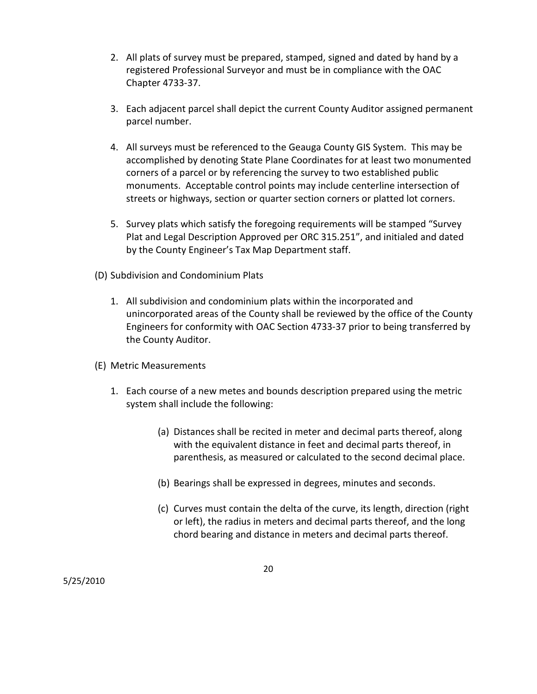- 2. All plats of survey must be prepared, stamped, signed and dated by hand by a registered Professional Surveyor and must be in compliance with the OAC Chapter 4733-37.
- 3. Each adjacent parcel shall depict the current County Auditor assigned permanent parcel number.
- 4. All surveys must be referenced to the Geauga County GIS System. This may be accomplished by denoting State Plane Coordinates for at least two monumented corners of a parcel or by referencing the survey to two established public monuments. Acceptable control points may include centerline intersection of streets or highways, section or quarter section corners or platted lot corners.
- 5. Survey plats which satisfy the foregoing requirements will be stamped "Survey Plat and Legal Description Approved per ORC 315.251", and initialed and dated by the County Engineer's Tax Map Department staff.
- (D) Subdivision and Condominium Plats
	- 1. All subdivision and condominium plats within the incorporated and unincorporated areas of the County shall be reviewed by the office of the County Engineers for conformity with OAC Section 4733-37 prior to being transferred by the County Auditor.
- (E) Metric Measurements
	- 1. Each course of a new metes and bounds description prepared using the metric system shall include the following:
		- (a) Distances shall be recited in meter and decimal parts thereof, along with the equivalent distance in feet and decimal parts thereof, in parenthesis, as measured or calculated to the second decimal place.
		- (b) Bearings shall be expressed in degrees, minutes and seconds.
		- (c) Curves must contain the delta of the curve, its length, direction (right or left), the radius in meters and decimal parts thereof, and the long chord bearing and distance in meters and decimal parts thereof.